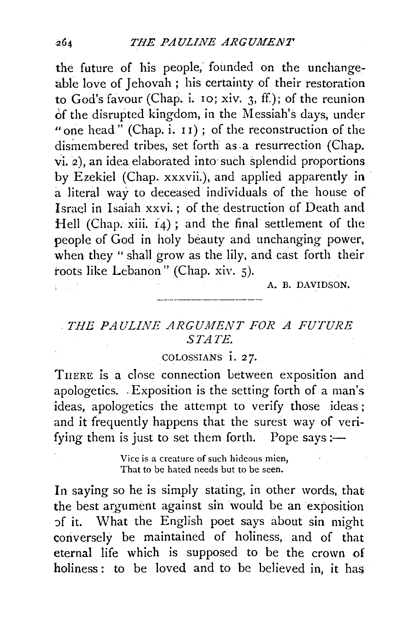the future of his people, founded on the unchangeable love of Jehovah ; his certainty of their restoration to God's favour (Chap. i. 10; xiv. 3, ff.); of the reunion of the disrupted kingdom, in the Messiah's days, under "one head" (Chap. i.  $11$ ); of the reconstruction of the dismembered tribes, set forth as a resurrection (Chap.  $vi. 2$ ), an idea elaborated into such splendid proportions by Ezekiel (Chap. xxxvii.), and applied apparently in · a literal way to deceased individuals of the house of Israel in Isaiah xxvi.; of the destruction of Death and Hell (Chap. xiii.  $i_4$ ); and the final settlement of the people of God in holy beauty and unchanging power, when they " shall grow as the lily, and cast forth their. roots like Lebanon" (Chap. xiv. 5).

A. B. DAVIDSON.

## . THE PAULINE ARGUMENT FOR A FUTURE STATE.

## COLOSSIANS i. *2* 7·

THERE is a close connection between exposition and apologetics. -Exposition is the setting forth of a man's ideas, apologetics the attempt to verify those ideas; and it frequently happens that the surest way of verifying them is just to set them forth. Pope says :—

> Vice is a creature of such hideous mien, That to be hated needs but to be seen.

In saying so he is simply stating, in other words, that the best argument against sih would be an exposition of it. What the English poet says about sin might conversely be maintained of holiness, and of that eternal life which is supposed to be the crown of  $holiness: to be loved and to be believed in, it has$ 

 $264$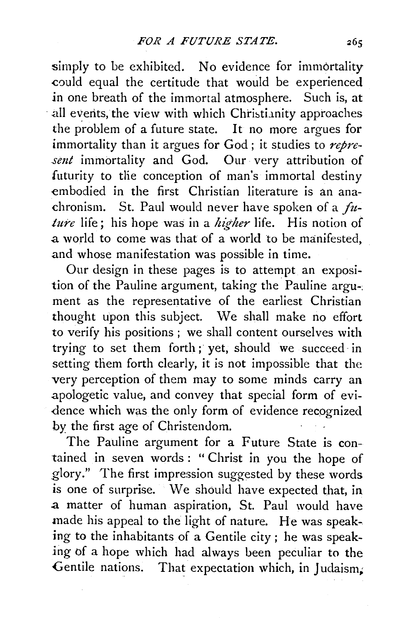simply to be exhibited. No evidence for immortality could equal the certitude that would be experienced in one breath of the immortal atmosphere. Such is, at all events, the view with which Christianity approaches the problem of a future state. It no more argues for immortality than it argues for God ; it studies to *repre*sent immortality and God. Our very attribution of futurity to the conception of man's immortal destiny embodied in the first Christian literature is an anachronism. St. Paul would never have spoken of a *fitlure* life; his hope was in a *higher* life. His notion of a world to come was that of a world to be manifested, .and whose manifestation was possible in time.

Our design in these pages is to attempt an exposition of the Pauline argument, taking the Pauline argu-; ment as the representative of the earliest Christian thought upon this subject. We shall make no effort to verify his positions; we shall content ourselves with trying to set them forth ; yet, should we succeed in setting them forth clearly, it is not impossible that the very perception of them may to some minds carry an .apologetic value, and convey that special form of evi- -dence which was the only form of evidence recognized by the first age of Christendom.

The Pauline argument for a Future State is contained in seven words : " Christ in you the hope of .glory." The first impression suggested by these words is one of surprise. We should have expected that, in a matter of human aspiration, St. Paul would have made his appeal to the light of nature. He was speaking to the inhabitants of a Gentile city ; he was speak*ing* bf a hope which had always been peculiar to the Gentile nations. That expectation which, in Judaism,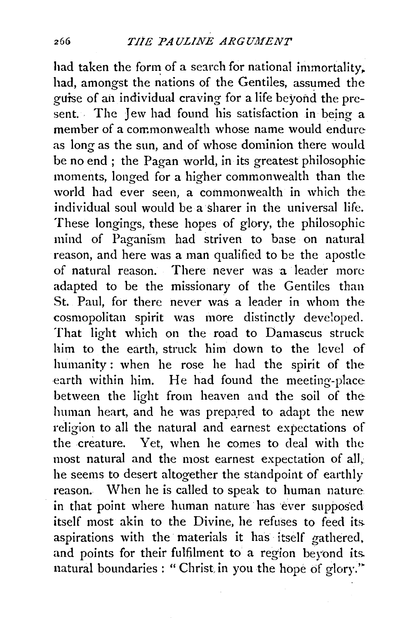had taken the form of a search for national immortality. had, amongst the nations of the Gentiles, assumed the guise of ail individual craving for a life beyond the present. The Jew had found his satisfaction in being a member of a commonwealth whose name would endure as long as the sun, and of whose dominion there would be no end ; the Pagan world, in its greatest philosophic moments, longed for a higher commonwealth than the world had ever seen, a commonwealth in which the individual soul would be a sharer in the universal life. These longings, these hopes of glory, the philosophic mind of Paganism had striven to base on natural reason, and here was a man qualified to be the apostle of natural reason. There never was a leader more adapted to be the missionary of the Gentiles than St. Paul, for there never was a leader in whom the cosmopolitan spirit was more distinctly developed. That light which on the road to Damascus struck him to the earth, struck him down to the level of humanity : when he rose he had the spirit of the earth within him. He had found the meeting-place between the light from heaven and the soil of the human heart, and he was prepared to adapt the new religion to all the natural and earnest expectations of the creature. yet, when he comes to deal with the most natural and the most earnest expectation of all; he seems to desert altogether the standpoint of earthly reason. When he is called to speak to human nature in that point where human nature has ever supposed itself most akin to the Divine, he refuses to feed its. aspirations with the materials it has itself gathered, and points for their fulfilment to a region beyond its. natural boundaries : "Christ. in you the hope of glory.'"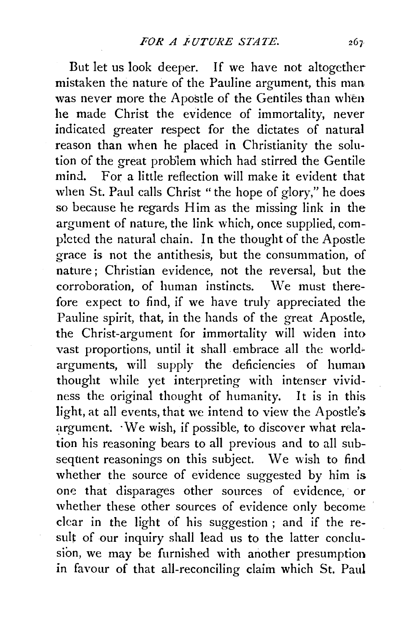But let us look deeper. If we have not altogether mistaken the nature of the Pauline argument, this man was never more the Apostle of the Gentiles than when he made Christ the evidence of immortality, never indicated greater respect for the dictates of natural reason than when he placed in Christianity the solution of the great problem which had stirred the Gentile mind. For a little reflection will make it evident that when St. Paul calls Christ " the hope of glory," he does so because he regards Him as the missing link in the argument of nature, the link which, once supplied, completed the natural chain. In the thought of the Apostle grace is not the antithesis, but the consummation, of nature ; Christian evidence, not the reversal, but the corroboration, of human instincts. We must therefore expect to find, if we have truly appreciated the Pauline spirit, that, in the hands of the great Apostle, the Christ-argument for immortality will widen into vast proportions, until it shall embrace all the world~ arguments, will supply the deficiencies of human thought while yet interpreting with intenser vividness the original thought of humanity. It is in this light, at all events, that we intend to view the Apostle's argument. · We wish, if possible, to discover what relation his reasoning bears to all previous and to all subsequent reasonings on this subject. We wish to find whether the source of evidence suggested by him is one that disparages other sources of evidence, or whether these other sources of evidence only become clear in the light of his suggestion ; and if the result of our inquiry shall lead us to the latter conclusion, we may be furnished with another presumption in favour of that all-reconciling claim which St. Paul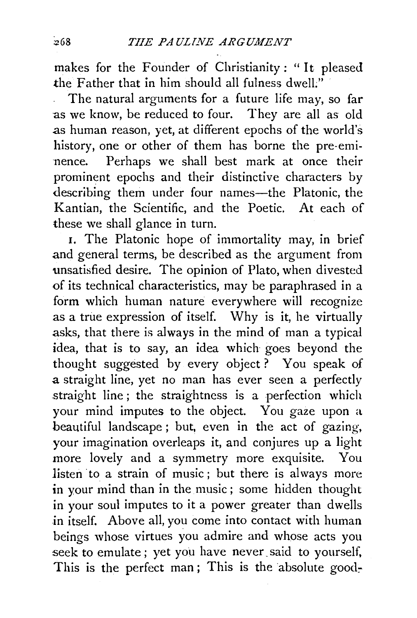makes for the Founder of Christianity : " It pleased the Father that in him should all fulness dwell. $\ddot{ }$ 

The natural arguments for a future life may, so far as we know, be reduced to four. They are all as old as human reason, yet, at different epochs of the world's history, one or other of them has borne the pre-eminence. Perhaps we shall best mark at once their prominent epochs and their distinctive characters by describing them under four names-the Platonic, the Kantian, the Scientific, and the Poetic. At each of these we shall glance in turn.

1. The Platonic hope of immortality may, in brief and general terms, be described as the argument from unsatisfied desire. The opinion of Plato, when divested of its technical characteristics, may be paraphrased in a form which human nature everywhere will recognize as a true expression of itself. Why is it, he virtually asks, that there is always in the mind of man a typical idea, that is to say, an idea which goes beyond the thought suggested by every object ? You speak of a straight line, yet no man has ever seen a perfectly straight line; the straightness is a perfection which your mind imputes to the object. You gaze upon a beautiful landscape ; but, even in the act of gazing, your imagination overleaps it, and conjures up a light more lovely and a symmetry more exquisite. You listen to a strain of music; but there is always more in your mind than in the music; some hidden thought in your soul imputes to it a power greater than dwells in itself. Above all, you come into contact with human beings whose virtues you admire and whose acts you seek to emulate; yet you have never said to yourself, This is the perfect man; This is the absolute good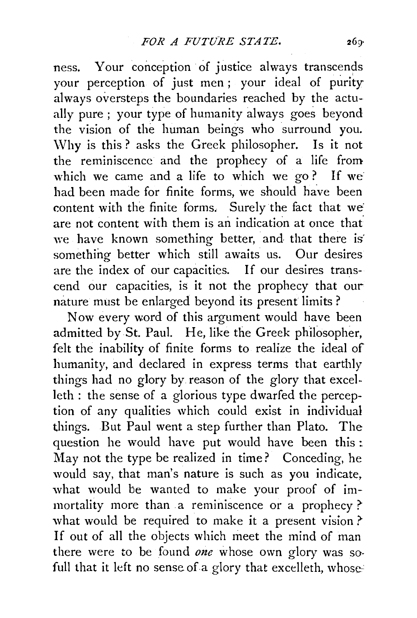ness. Your conception of justice always transcends your perception of just men ; your ideal of purity always oversteps the boundaries reached by the actually pure; your type of humanity always goes beyond the vision of the human beings who surround you. \Vhy is this? asks the Greek philosopher. Is it not the reminiscence and the prophecy of a life from which we came and a life to which we go? If we had been made for finite forms, we should have been content with the finite forms. Surely the fact that we are not content with them is an indication at once that we have known something better, and that there is something better which still awaits us. Our desires are the index of our capacities. If our desires transcend our capacities, is it not the prophecy that our nature must be enlarged beyond its present limits ?

Now every word of this argument would have been admitted by St. Paul. He, like the Greek philosopher, felt the inability of finite forms to realize the ideal of humanity, and declared in express terms that earthly things had no glory by reason of the glory that excelleth : the sense of a glorious type dwarfed the perception of any qualities which could exist in individual things. But Paul went a step further than Plato. The question he would have put would have been this: May not the type be realized in time? Conceding, he would say, that man's nature is such as you indicate, what would be wanted to make your proof of immortality more than a reminiscence or a prophecy ? what would be required to make it a present vision ? If out of all the objects which meet the mind of man there were to be found *one* whose own glory was sofull that it left no sense of a glory that excelleth, whose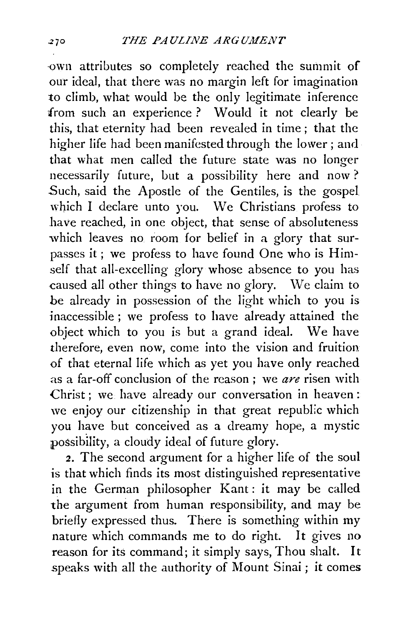·own attributes so completely reached the summit of our ideal, that there was no margin left for imagination to climb, what would be the only legitimate inference from such an experience? Would it not clearly be this, that eternity had been revealed in time ; that the higher life had been manifested through the lower ; and that what men called the future state was no longer necessarily future, but a possibility here and now ? Such, said the Apostle of the Gentiles, is the gospel which I declare unto you. We Christians profess to have reached, in one object, that sense of absoluteness which leaves no room for belief in a glory that surpasses it ; we profess to have found One who is Himself that all-excelling glory whose absence to you has caused all other things to have no glory. \Ve claim to be already in possession of the light which to you is inaccessible; we profess to have already attained the object which to you is but a grand ideal. We have therefore, even now, come into the vision and fruition of that eternal life which as yet you have only reached as a far-off conclusion of the reason ; we *are* risen with Christ; we have already our conversation in heaven: we enjoy our citizenship in that great republic which you have but conceived as a dreamy hope, a mystic possibility, a cloudy ideal of future glory.

2. The second argument for a higher life of the soul is that which finds its most distinguished representative in the German philosopher Kant: it may be called the argument from human responsibility, and may be briefly expressed thus. There is something within my nature which commands me to do right. It gives no reason for its command; it simply says, Thou shalt. It speaks with all the authority of Mount Sinai ; it comes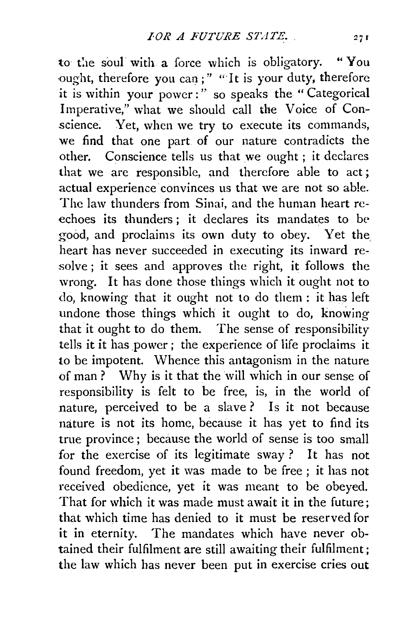to the soul with a force which is obligatory. "You ought, therefore you can;" "It is your duty, therefore it is within your power:" so speaks the "Categorical Imperative," what we should call the Voice of Conscience. Yet, when we try to execute its commands, we find that one part of our nature contradicts the other. Conscience tells us that we ought ; it declares that we arc responsible, and therefore able to act ; actual experience convinces us that we are not so able. The law thunders from Sinai, and the human heart reechoes its thunders; it declares its mandates to be good, and proclaims its own duty to obey. Yet the heart has never succeeded in executing its inward resolve ; it sees and approves the right, it follows the wrong. It has done those things which it ought not to do, knowing that it ought not to do them : it has left undone those things which it ought to do, knowing that it ought to do them. The sense of responsibility tells it it has power ; the experience of life proclaims it to be impotent. Whence this antagonism in the nature of man ? Why is it that the will which in our sense of responsibility is felt to be free, is, in the world of nature, perceived to be a slave? Is it not because nature is not its home, because it has yet to find its true province ; because the world of sense is too small for the exercise of its legitimate sway ? It has not found freedom, yet it was made to be free ; it has not received obedience, yet it was meant to be obeyed. That for which it was made must await it in the future; that which time has denied to it must be reserved for it in eternity. The mandates which have never obtained their fulfilment are still awaiting their fulfilment; the law which has never been put in exercise cries out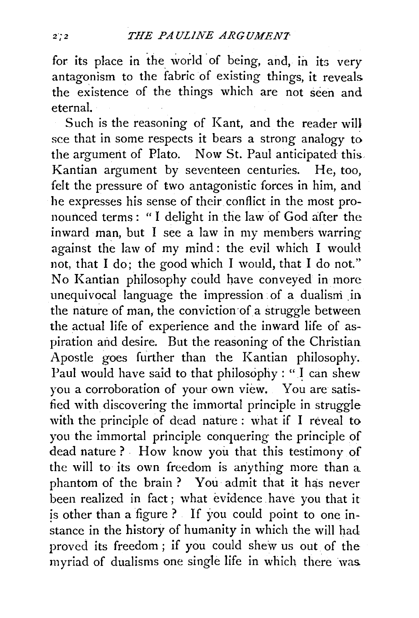for its place in the world of being, and, in its very antagonism to the fabric of existing things, it reveals the existence of the things which are not seen and eternal.

Such is the reasoning of Kant, and the reader will see that in some respects it bears a strong analogy to the argument of Plato. Now St. Paul anticipated this Kantian argument by seventeen centuries. He, too, felt the pressure of two antagonistic forces in him, and he expresses his sense of their conflict in the most pronounced terms: "I delight in the law of God after the inward man, but I see a law in my members warring against the law of my mind : the evil which I would not, that I do; the good which I would, that I do not." No Kantian philosophy could have conveyed in more unequivocal language the impression of a dualism in the nature of man, the conviction of a struggle between the actual life of experience and the inward life of aspiration and desire. But the reasoning of the Christian Apostle goes further than the Kantian philosophy. Paul would have said to that philosophy : " I can shew you a corroboration of your own view. You are satisfied with discovering the immortal principle in struggle with the principle of dead nature : what if I reveal to you the immortal principle conquering the principle of dead nature ? How know you that this testimony of the will to its own freedom is anything more than a phantom of the brain ? You admit that it has never been realized in fact ; what evidence have you that it is other than a figure ? If you could point to one instance in the history of humanity in which the will had proved its freedom ; if you could shew us out of the myriad of dualisms one single life in which there was.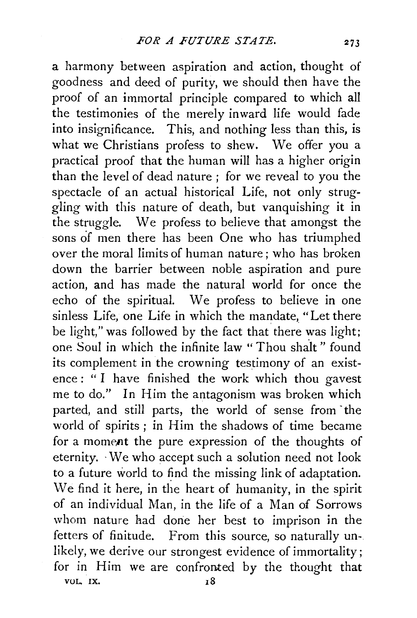a harmony between aspiration and action, thought of goodness and deed of purity, we should then have the proof of an immortal principle compared to which all the testimonies of the merely inward life would fade into insignificance. This, and nothing less than this, is what we Christians profess to shew. We offer you a practical proof that the human will has a higher origin than the level of dead nature ; for we reveal to you the spectacle of an actual historical Life, not only struggling with this nature of death, but vanquishing it in the struggle. We profess to believe that amongst the sons of men there has been One who has triumphed over the moral limits of human nature; who has broken down the barrier between noble aspiration and pure action, and has made the natural world for once the echo of the spiritual. We profess to believe in one sinless Life, one Life in which the mandate, "Let there be light," was followed by the fact that there was light; one Soul in which the infinite law "Thou shalt" found its complement in the crowning testimony of an existence: " I have finished the work which thou gavest me to do." In Him the antagonism was broken which parted, and still parts, the world of sense from the world of spirits; in Him the shadows of time became for a moment the pure expression of the thoughts of eternity. -We who accept such a solution need not look to a future world to find the missing link of adaptation. We find it here, in the heart of humanity, in the spirit of an individual Man, in the life of a Man of Sorrows whom nature had done her best to imprison in the fetters of finitude. From this source, so naturally unlikely, we derive our strongest evidence of immortality; for in Him we are confronted by the thought that VOL. IX. 18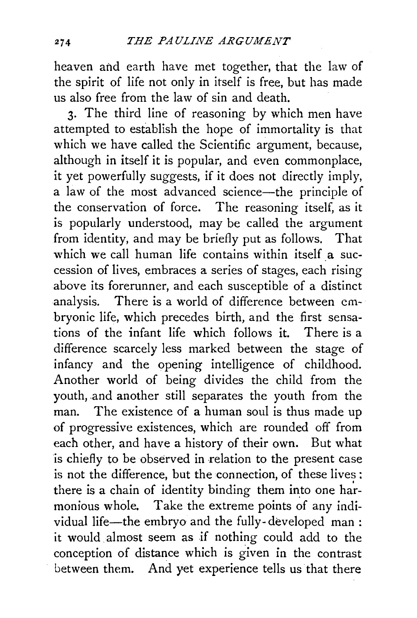heaven and earth have met together, that the law of the spirit of life not only in itself is free, but has made us also free from the law of sin and death.

3· The third line of reasoning by which men have attempted to establish the hope of immortality is that which we have called the Scientific argument, because, although in itself it is popular, and even commonplace, it yet powerfully suggests, if it does not directly imply, a law of the most advanced science-the principle of the conservation of force. The reasoning itself, as it is popularly understood, may be called the argument from identity, and may be briefly put as follows. That which we call human life contains within itself a succession of lives, embraces a series of stages, each rising above its forerunner, and each susceptible of a distinct analysis. There is a world of difference between embryonic life, which precedes birth, and the first sensations of the infant life which follows it. There is a difference scarcely less marked between the stage of infancy and the opening intelligence of childhood. Another world of being divides the child from the youth, and another still separates the youth from the man. The existence of a human soul is thus made up of progressive existences, which are rounded off from each other, and have a history of their own. But what is chiefly to be observed in relation to the present case is not the difference, but the connection, of these lives : there is a chain of identity binding them into one harmonious whole. Take the extreme points of any individual life-the embryo and the fully-developed man: it would. almost seem as if nothing could add to the conception of distance which is given in the contrast between them. And yet experience tells us that there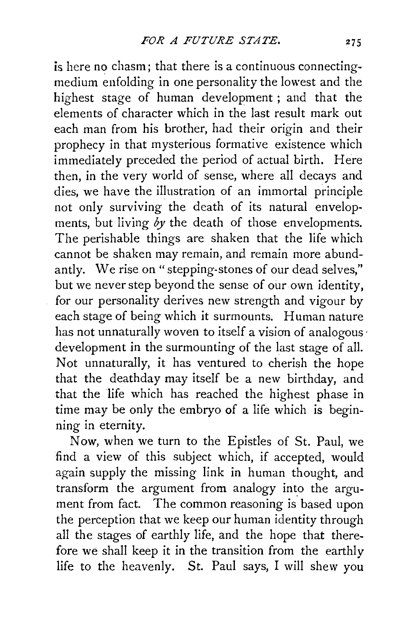is here no chasm; that there is a continuous connectingmedium enfolding in one personality the lowest and the highest stage of human development ; and that the elements of character which in the last result mark out each man from his brother, had their origin and their prophecy in that mysterious formative existence which immediately preceded the period of actual birth. Here then, in the very world of sense, where all decays and dies, we have the illustration of an immortal principle not only surviving the death of its natural envelopments, but living *by* the death of those envelopments. The perishable things are shaken that the life which cannot be shaken may remain, and remain more abundantly. We rise on "stepping-stones of our dead selves," but we never step beyond the sense of our own identity, for our personality derives new strength and vigour by each stage of being which it surmounts. Human nature has not unnaturally woven to itself a vision of analogous development in the surmounting of the last stage of all. Not unnaturally, it has ventured to cherish the hope that the deathday may itself be a new birthday, and that the life which has reached the highest phase in time may be only the embryo of a life which is beginning in eternity.

Now, when we turn to the Epistles of St. Paul, we find a view of this subject which, if accepted, would again supply the missing link in human thought, and transform the argument from analogy into the argument from fact. The common reasoning is based upon the perception that we keep our human identity through all the stages of earthly life, and the hope that therefore we shall keep it in the transition from the earthly life to the heavenly. St. Paul says, I will shew you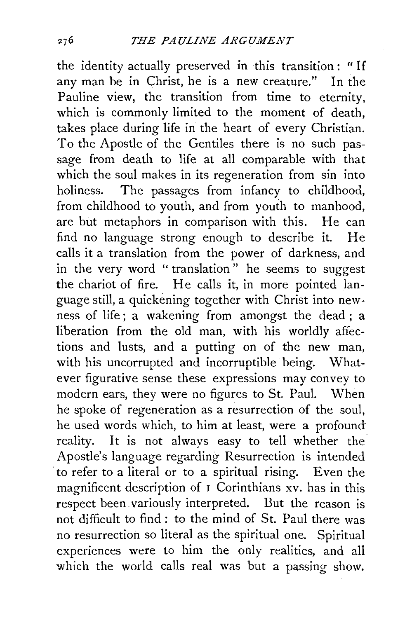the identity actually preserved in this transition : " If any man be in Christ, he is a new creature." In the Pauline view, the transition from time to eternity, which is commonly limited to the moment of death, takes place during life in the heart of every Christian. To the Apostle of the Gentiles there is no such passage from death to life at all comparable with that which the soul makes in its regeneration from sin into holiness. The passages from infancy to childhood, from childhood to youth, and from youth to manhood, are but metaphors in comparison with this. He can find no language strong enough to describe it. He calls it a translation from the power of darkness, and in the very word "translation" he seems to suggest the chariot of fire. He calls it, in more pointed language still, a quickening together with Christ into newness of life; a wakening from amongst the dead; a liberation from the old man, with his worldly affections and lusts, and a putting on of the new man, with his uncorrupted and incorruptible being. Whatever figurative sense these expressions may convey to modern ears, they were no figures to St. Paul. When he spoke of regeneration as a resurrection of the soul, he used words which, to him at least, were a profound reality. It is not always easy to tell whether the Apostle's language regarding Resurrection is intended to refer to a literal or to a spiritual rising. Even the magnificent description of  $\overline{\textbf{I}}$  Corinthians xv. has in this respect been variously interpreted. But the reason is not difficult to find : to the mind of St. Paul there was no resurrection so literal as the spiritual one. Spiritual experiences were to him the only realities, and all which the world calls real was but a passing show.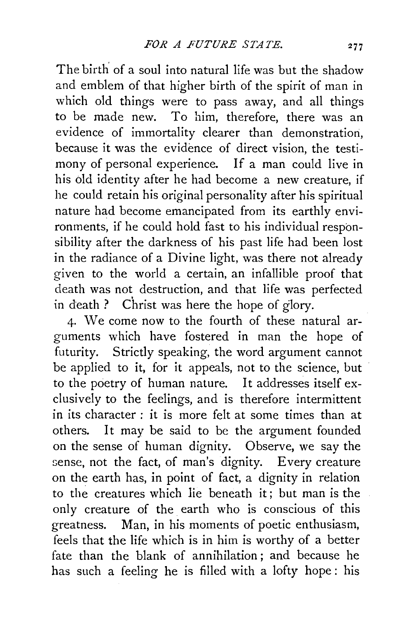The birth' of a soul into natural life was but the shadow and emblem of that higher birth of the spirit of man in which old things were to pass away, and all things to be made new. To him, therefore, there was an evidence of immortality clearer than demonstration, because it was the evidence of direct vision, the testimony of personal experience. If a man could live in his old identity after he had become a new creature, if he could retain his original personality after his spiritual nature had become emancipated from its earthly environments, if he could hold fast to his individual responsibility after the darkness of his past life had been lost in the radiance of a Divine light, was there not already given to the world a certain, an infallible proof that death was not destruction, and that life was perfected in death ? Christ was here the hope of glory.

4· We come now to the fourth of these natural arguments which have fostered in man the hope of futurity. Strictly speaking, the word argument cannot be applied to it, for it appeals, not to the science, but to the poetry of human nature. It addresses itself exclusively to the feelings, and is therefore intermittent in its character : it is more felt at some times than at others. It may be said to be the argument founded on the sense of human dignity. Observe, we say the sense, not the fact, of man's dignity. Every creature on the earth has, in point of fact, a dignity in relation to the creatures which lie beneath it; but man is the only creature of the earth who is conscious of this greatness. Man, in his moments of poetic enthusiasm, feels that the life which is in him is worthy of a better fate than the blank of annihilation ; and because he has such a feeling he is filled with a lofty hope : his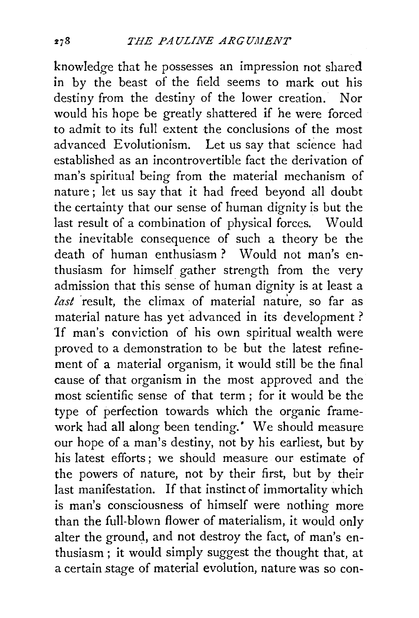knowledge that he possesses an impression not shared in by the beast of the field seems to mark out his destiny from the destiny of the lower creation. Nor would his hope be greatly shattered if he were forced to admit to its full extent the conclusions of the most advanced Evolutionism. Let us say that science had established as an incontrovertible fact the derivation of man's spiritual being from the material mechanism of nature; let us say that it had freed beyond all doubt the certainty that our sense of human dignity is but the last result of a combination of physical forces. Would the inevitable consequence of such a theory be the death of human enthusiasm? Would not man's enthusiasm for himself gather strength from the very admission that this sense of human dignity is at least a last result, the climax of material nature, so far as material nature has yet advanced in its development ? 'If man's conviction of his own spiritual wealth were proved to a demonstration to be but the latest refinement of a material organism, it would still be the final cause of that organism in the most approved and the most scientific sense of that term ; for it would be the type of perfection towards which the organic framework had all along been tending.' We should measure our hope of a man's destiny, not by his earliest, but by his latest efforts ; we should measure our estimate of the powers of nature, not by their first, but by their last manifestation. If that instinct of immortality which is man's consciousness of himself were nothing more than the full-blown flower of materialism, it would only alter the ground, and not destroy the fact, of man's enthusiasm; it would simply suggest the thought that, at a certain stage of material evolution, nature was so con-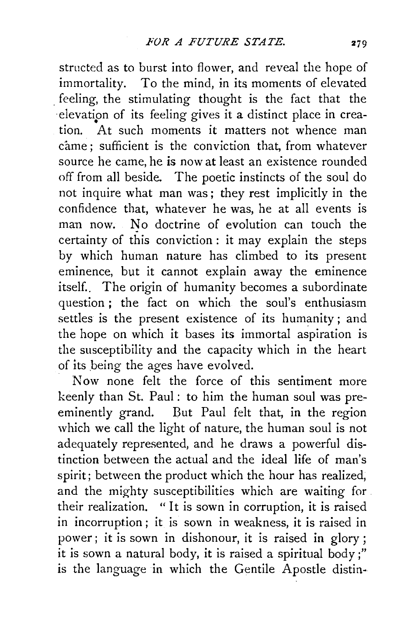structed as to burst into flower, and reveal the hope of immortality. To the mind, in its moments of elevated . feeling, the stimulating thought is the fact that the elevation of its feeling gives it a distinct place in creation. At such moments it matters not whence man came; sufficient is the conviction that, from whatever source he came, he is now at least an existence rounded off from all beside. The poetic instincts of the soul do not inquire what man was; they rest implicitly in the confidence that, whatever he was, he at all events is man now. No doctrine of evolution can touch the certainty of this conviction : it may explain the steps by which human nature has climbed to its present eminence, but it cannot explain away the eminence itself.. The origin of humanity becomes a subordinate question; the fact on which the soul's enthusiasm settles is the present existence of its humanity; and the hope on which it bases its immortal aspiration is the susceptibility and the capacity which in the heart of its being the ages have evolved.

Now none felt the force of this sentiment more keenly than St. Paul: to him the human soul was preeminently grand. But Paul felt that, in the region which we call the light of nature, the human soul is not adequately represented, and he draws a powerful distinction between the actual and the ideal life of man's spirit; between the product which the hour has realized, and the mighty susceptibilities which are waiting for . their realization. " It is sown in corruption, it is raised in incorruption; it is sown in weakness, it is raised in power ; it is sown in dishonour, it is raised in glory ; it is sown a natural body, it is raised a spiritual body;" is the language in which the Gentile Apostle distin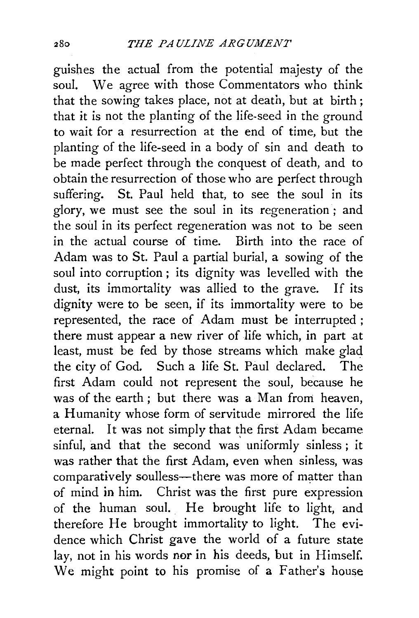guishes the actual from the potential majesty of the soul. We agree with those Commentators who think that the sowing takes place, not at death, but at birth ; that it is not the planting of the life-seed in the ground to wait for a resurrection at the end of time, but the planting of the life-seed in a body of sin and death to be made perfect through the conquest of death, and to obtain the resurrection of those who are perfect through suffering. St. Paul held that, to see the soul in its glory, we must see the soul in its regeneration ; and the soul in its perfect regeneration was not to be seen in the actual course of time. Birth into the race of Adam was to St. Paul a partial burial, a sowing of the soul into corruption ; its dignity was levelled with the dust, its immortality was allied to the grave. If its dignity were to be seen, if its immortality were to be represented, the race of Adam must be interrupted; there must appear a new river of life which, in part at least, must be fed by those streams which make glad the city of God. Such a life St. Paul declared. The first Adam could not represent the soul, because he was of the earth; but there was a Man from heaven, a Humanity whose form of servitude mirrored the life eternal. It was not simply that the first Adam became sinful, and that the second was uniformly sinless ; it was rather that the first Adam, even when sinless, was comparatively soulless—there was more of matter than of mind in him. Christ was the first pure expression of the human soul. He brought life to light, and therefore He brought immortality to light. The evidence which Christ gave the world of a future state lay, not in his words nor in his deeds, but in Himself. We might point to his promise of a Father's house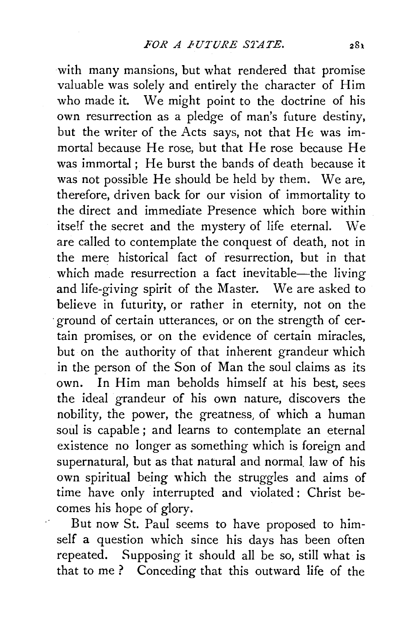with many mansions, but what rendered that promise valuable was solely and entirely the character of Him who made it. We might point to the doctrine of his own resurrection as a pledge of man's future destiny, but the writer of the Acts says, not that He was immortal because He rose, but that He rose because He was immortal ; He burst the bands of death because it was not possible He should be held by them. We are, therefore, driven back for our vision of immortality to the direct and immediate Presence which bore within itself the secret and the mystery of life eternal. We are called to contemplate the conquest of death, not in the mere historical fact of resurrection, but in that which made resurrection a fact inevitable-the living and life-giving spirit of the Master. We are asked to believe in futurity, or rather in eternity, not on the ·ground of certain utterances, or on the strength of certain promises, or on the evidence of certain miracles, but on the authority of that inherent grandeur which in the person of the Son of Man the soul claims as its own. In Him man beholds himself at his best, sees the ideal grandeur of his own nature, discovers the nobility, the power, the greatness, of which a human soul is capable; and learns to contemplate an eternal existence no longer as something which is foreign and supernatural, but as that natural and normal. law of his own spiritual being which the struggles and aims of time have only interrupted and violated : Christ becomes his hope of glory.

But now St. Paul seems to have proposed to himself a question which since his days has been often repeated. Supposing it should all be so, still what is that to me ? Conceding that this outward life of the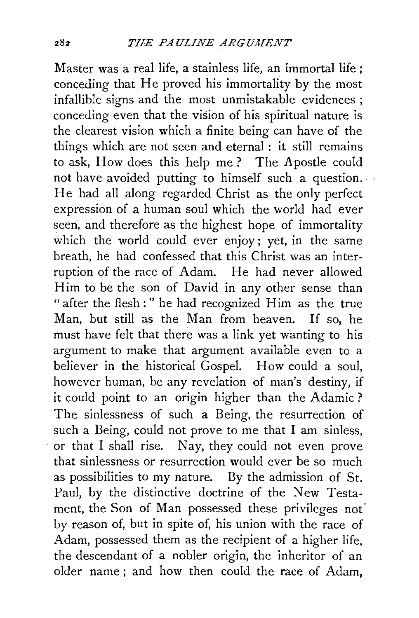Master was a real life, a stainless life, an immortal life ; conceding that He proved his immortality by the most infallible signs and the most unmistakable evidences ; conceding even that the vision of his spiritual nature is the clearest vision which a finite being can have of the things which are not seen and eternal : it still remains to ask, How does this help me? The Apostle could not have avoided putting to himself such a question. He had all along regarded Christ as the only perfect expression of a human soul which the world had ever seen, and therefore as the highest hope of immortality which the world could ever enjoy; yet, in the same breath, he had confessed that this Christ was an interruption of the race of Adam. He had never allowed Him to be the son of David in any other sense than "after the flesh:" he had recognized Him as the true Man, but still as the Man from heaven. If so, he must have felt that there was a link yet wanting to his argument to make that argument available even to a believer in the historical Gospel. How could a soul, however human, be any revelation of man's destiny, if it could point to an origin higher than the Adamic ? The sinlessness of such a Being, the resurrection of such a Being, could not prove to me that I am sinless, or that I shall rise. Nay, they could not even prove that sinlessness or resurrection would ever be so much as possibilities to my nature. By the admission of St. Paul, by the distinctive doctrine of the New Testament, the Son of Man possessed these privileges not by reason of, but in spite of, his union with the race of Adam, possessed them as the recipient of a higher life, the descendant of a nobler origin, the inheritor of an older name ; and how then could the race of Adam,

282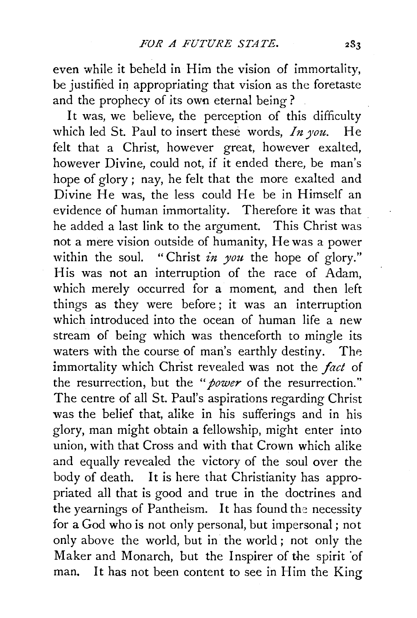even while it beheld in Him the vision of immortality, be justified in appropriating that vision as the foretaste and the prophecy of its own eternal being?

It was, we believe, the perception of this difficulty which led St. Paul to insert these words, *In you*. He felt that a Christ, however great, however exalted, however Divine, could not, if it ended there, be man's hope of glory ; nay, he felt that the more exalted and Divine He was, the less could He be in Himself an evidence of human immortality. Therefore it was that he added a last link to the argument. This Christ was not a mere vision outside of humanity, He was a power within the soul. "Christ *in you* the hope of glory." His was not an interruption of the race of Adam, which merely occurred for a moment, and then left things as they were before ; it was an interruption which introduced into the ocean of human life a new stream of being which was thenceforth to mingle its waters with the course of man's earthly destiny. The immortality which Christ revealed was not the *fact* of the resurrection, but the *"power* of the resurrection." The centre of all St. Paul's aspirations regarding Christ was the belief that, alike in his sufferings and in his glory, man might obtain a fellowship, might enter into union, with that Cross and with that Crown which alike and equally revealed the victory of the soul over the body of death. It is here that Christianity has appropriated all that is good and true in the doctrines and the yearnings of Pantheism. It has found the necessity for a God who is not only personal, but impersonal ; not only above the world, but in the world ; not only the Maker and Monarch, but the Inspirer of the spirit 'of man. It has not been content to see in Him the King